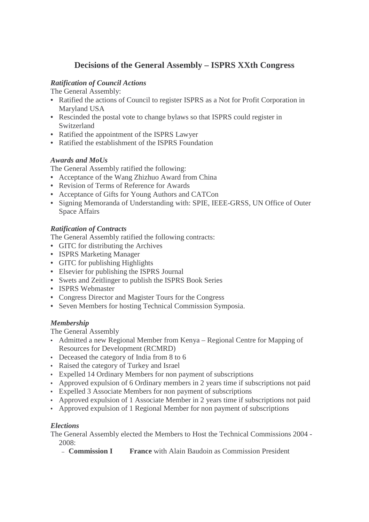# **Decisions of the General Assembly – ISPRS XXth Congress**

### *Ratification of Council Actions*

The General Assembly:

- Ratified the actions of Council to register ISPRS as a Not for Profit Corporation in Maryland USA
- Rescinded the postal vote to change bylaws so that ISPRS could register in Switzerland
- Ratified the appointment of the ISPRS Lawyer
- Ratified the establishment of the ISPRS Foundation

### *Awards and MoUs*

The General Assembly ratified the following:

- Acceptance of the Wang Zhizhuo Award from China
- Revision of Terms of Reference for Awards
- Acceptance of Gifts for Young Authors and CATCon
- Signing Memoranda of Understanding with: SPIE, IEEE-GRSS, UN Office of Outer Space Affairs

### *Ratification of Contracts*

The General Assembly ratified the following contracts:

- GITC for distributing the Archives
- ISPRS Marketing Manager
- GITC for publishing Highlights
- Elsevier for publishing the ISPRS Journal
- Swets and Zeitlinger to publish the ISPRS Book Series
- ISPRS Webmaster
- Congress Director and Magister Tours for the Congress
- Seven Members for hosting Technical Commission Symposia.

## *Membership*

The General Assembly

- Admitted a new Regional Member from Kenya Regional Centre for Mapping of Resources for Development (RCMRD)
- Deceased the category of India from 8 to 6
- Raised the category of Turkey and Israel
- Expelled 14 Ordinary Members for non payment of subscriptions
- Approved expulsion of 6 Ordinary members in 2 years time if subscriptions not paid
- Expelled 3 Associate Members for non payment of subscriptions
- Approved expulsion of 1 Associate Member in 2 years time if subscriptions not paid
- Approved expulsion of 1 Regional Member for non payment of subscriptions

### *Elections*

The General Assembly elected the Members to Host the Technical Commissions 2004 - 2008:

– **Commission I France** with Alain Baudoin as Commission President